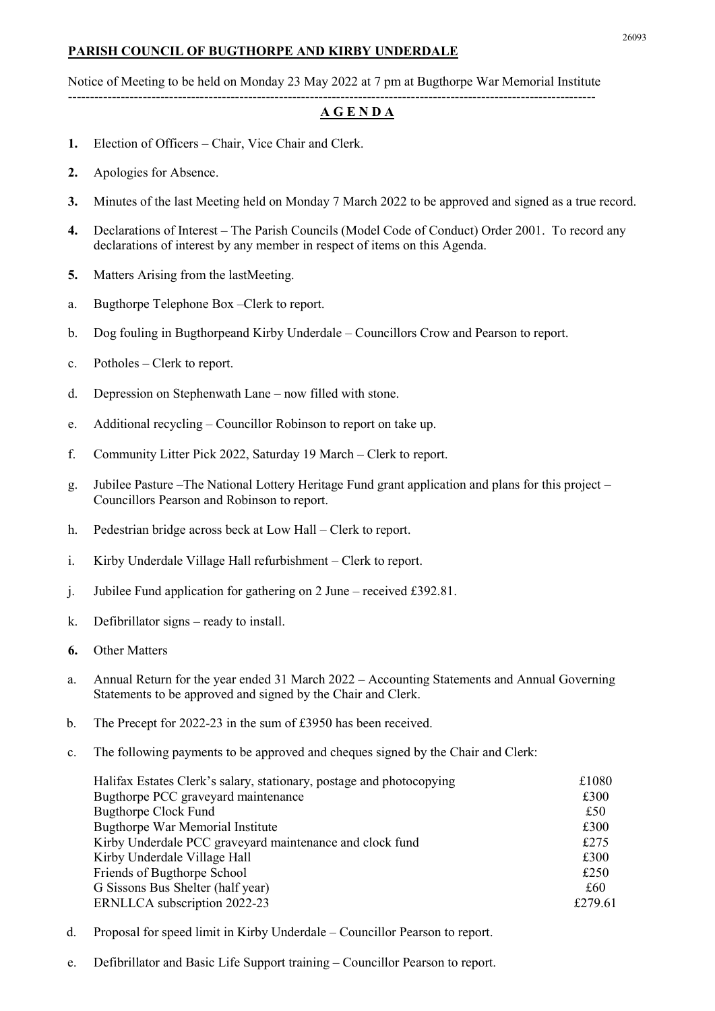## PARISH COUNCIL OF BUGTHORPE AND KIRBY UNDERDALE

Notice of Meeting to be held on Monday 23 May 2022 at 7 pm at Bugthorpe War Memorial Institute ------------------------------------------------------------------------------------------------------------------------

## A G E N D A

- 1. Election of Officers Chair, Vice Chair and Clerk.
- 2. Apologies for Absence.
- 3. Minutes of the last Meeting held on Monday 7 March 2022 to be approved and signed as a true record.
- 4. Declarations of Interest The Parish Councils (Model Code of Conduct) Order 2001. To record any declarations of interest by any member in respect of items on this Agenda.
- 5. Matters Arising from the lastMeeting.
- a. Bugthorpe Telephone Box –Clerk to report.
- b. Dog fouling in Bugthorpeand Kirby Underdale Councillors Crow and Pearson to report.
- c. Potholes Clerk to report.
- d. Depression on Stephenwath Lane now filled with stone.
- e. Additional recycling Councillor Robinson to report on take up.
- f. Community Litter Pick 2022, Saturday 19 March Clerk to report.
- g. Jubilee Pasture –The National Lottery Heritage Fund grant application and plans for this project Councillors Pearson and Robinson to report.
- h. Pedestrian bridge across beck at Low Hall Clerk to report.
- i. Kirby Underdale Village Hall refurbishment Clerk to report.
- j. Jubilee Fund application for gathering on 2 June received £392.81.
- k. Defibrillator signs ready to install.
- 6. Other Matters
- a. Annual Return for the year ended 31 March 2022 Accounting Statements and Annual Governing Statements to be approved and signed by the Chair and Clerk.
- b. The Precept for 2022-23 in the sum of £3950 has been received.
- c. The following payments to be approved and cheques signed by the Chair and Clerk:

| Halifax Estates Clerk's salary, stationary, postage and photocopying | £1080   |
|----------------------------------------------------------------------|---------|
| Bugthorpe PCC graveyard maintenance                                  | £300    |
| <b>Bugthorpe Clock Fund</b>                                          | £50     |
| Bugthorpe War Memorial Institute                                     | £300    |
| Kirby Underdale PCC graveyard maintenance and clock fund             | £275    |
| Kirby Underdale Village Hall                                         | £300    |
| Friends of Bugthorpe School                                          | £250    |
| G Sissons Bus Shelter (half year)                                    | £60     |
| ERNLLCA subscription 2022-23                                         | £279.61 |

- d. Proposal for speed limit in Kirby Underdale Councillor Pearson to report.
- e. Defibrillator and Basic Life Support training Councillor Pearson to report.